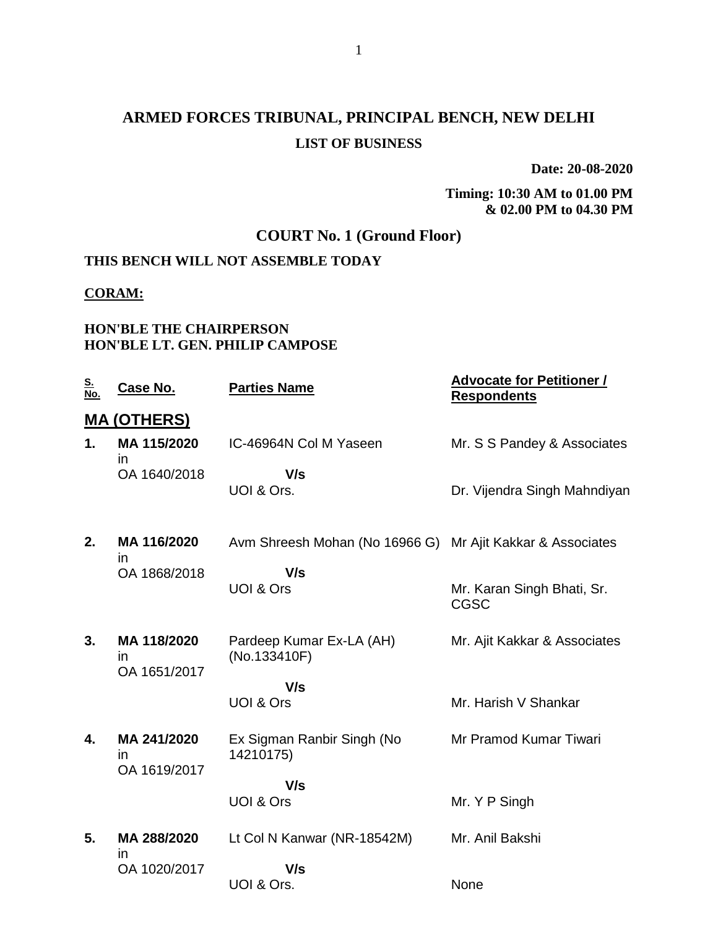# **ARMED FORCES TRIBUNAL, PRINCIPAL BENCH, NEW DELHI LIST OF BUSINESS**

**Date: 20-08-2020**

**Timing: 10:30 AM to 01.00 PM & 02.00 PM to 04.30 PM**

## **COURT No. 1 (Ground Floor)**

## **THIS BENCH WILL NOT ASSEMBLE TODAY**

#### **CORAM:**

#### **HON'BLE THE CHAIRPERSON HON'BLE LT. GEN. PHILIP CAMPOSE**

| <u>S.</u><br><u>No.</u> | Case No.                          | <b>Parties Name</b>                                        | <b>Advocate for Petitioner /</b><br><b>Respondents</b> |
|-------------------------|-----------------------------------|------------------------------------------------------------|--------------------------------------------------------|
|                         | <b>MA (OTHERS)</b>                |                                                            |                                                        |
| 1.                      | MA 115/2020<br><i>in</i>          | IC-46964N Col M Yaseen                                     | Mr. S S Pandey & Associates                            |
|                         | OA 1640/2018                      | V/s<br>UOI & Ors.                                          | Dr. Vijendra Singh Mahndiyan                           |
| 2.                      | MA 116/2020<br>in                 | Avm Shreesh Mohan (No 16966 G) Mr Ajit Kakkar & Associates |                                                        |
|                         | OA 1868/2018                      | V/s<br><b>UOI &amp; Ors</b>                                | Mr. Karan Singh Bhati, Sr.<br><b>CGSC</b>              |
| 3.                      | MA 118/2020<br>in<br>OA 1651/2017 | Pardeep Kumar Ex-LA (AH)<br>(No.133410F)                   | Mr. Ajit Kakkar & Associates                           |
|                         |                                   | V/s<br>UOI & Ors                                           | Mr. Harish V Shankar                                   |
| 4.                      | MA 241/2020<br>in<br>OA 1619/2017 | Ex Sigman Ranbir Singh (No<br>14210175)                    | Mr Pramod Kumar Tiwari                                 |
|                         |                                   | V/s<br>UOI & Ors                                           | Mr. Y P Singh                                          |
| 5.                      | MA 288/2020<br>$\mathsf{I}$       | Lt Col N Kanwar (NR-18542M)                                | Mr. Anil Bakshi                                        |
|                         | OA 1020/2017                      | V/s<br>UOI & Ors.                                          | None                                                   |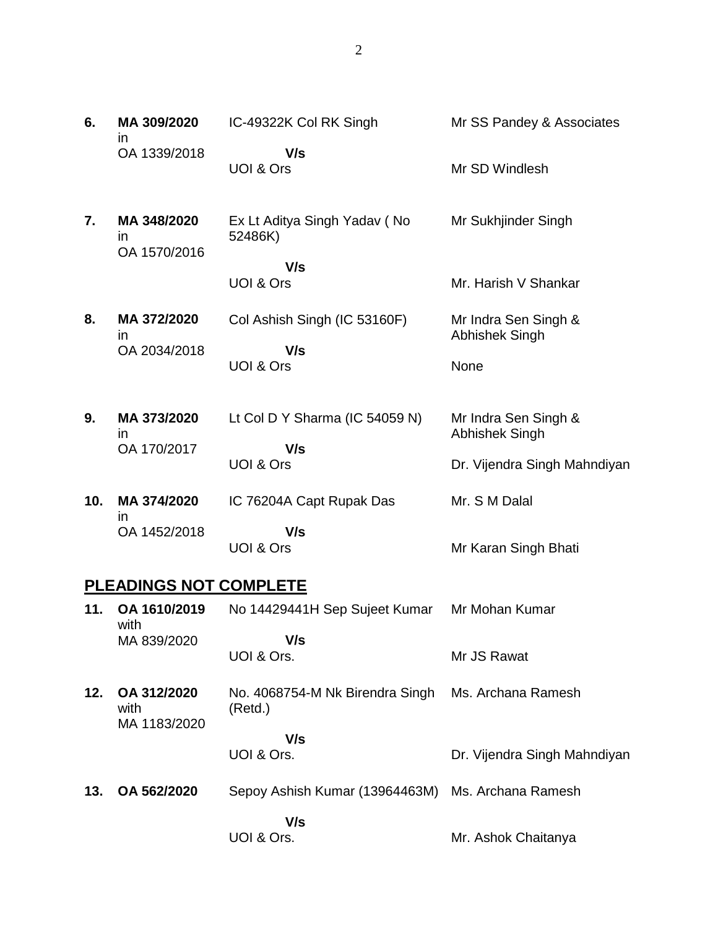| 6.  | MA 309/2020<br>$\mathsf{I}$                 | IC-49322K Col RK Singh                     | Mr SS Pandey & Associates                     |
|-----|---------------------------------------------|--------------------------------------------|-----------------------------------------------|
|     | OA 1339/2018                                | V/s<br>UOI & Ors                           | Mr SD Windlesh                                |
| 7.  | MA 348/2020<br>$\mathsf{I}$<br>OA 1570/2016 | Ex Lt Aditya Singh Yadav (No<br>52486K)    | Mr Sukhjinder Singh                           |
|     |                                             | V/s<br>UOI & Ors                           | Mr. Harish V Shankar                          |
| 8.  | MA 372/2020<br>$\mathsf{I}$<br>OA 2034/2018 | Col Ashish Singh (IC 53160F)<br>V/s        | Mr Indra Sen Singh &<br>Abhishek Singh        |
|     |                                             | UOI & Ors                                  | None                                          |
| 9.  | MA 373/2020<br>$\mathsf{I}$                 | Lt Col D Y Sharma (IC 54059 N)             | Mr Indra Sen Singh &<br><b>Abhishek Singh</b> |
|     | OA 170/2017                                 | V/s<br>UOI & Ors                           | Dr. Vijendra Singh Mahndiyan                  |
| 10. | MA 374/2020<br>in                           | IC 76204A Capt Rupak Das                   | Mr. S M Dalal                                 |
|     | OA 1452/2018                                | V/s<br>UOI & Ors                           | Mr Karan Singh Bhati                          |
|     | <b>PLEADINGS NOT COMPLETE</b>               |                                            |                                               |
| 11. | OA 1610/2019<br>with                        | No 14429441H Sep Sujeet Kumar              | Mr Mohan Kumar                                |
|     | MA 839/2020                                 | V/s<br>UOI & Ors.                          | Mr JS Rawat                                   |
| 12. | OA 312/2020<br>with<br>MA 1183/2020         | No. 4068754-M Nk Birendra Singh<br>(Retd.) | Ms. Archana Ramesh                            |
|     |                                             | V/s<br>UOI & Ors.                          | Dr. Vijendra Singh Mahndiyan                  |
| 13. | OA 562/2020                                 | Sepoy Ashish Kumar (13964463M)             | Ms. Archana Ramesh                            |
|     |                                             | V/s<br>UOI & Ors.                          | Mr. Ashok Chaitanya                           |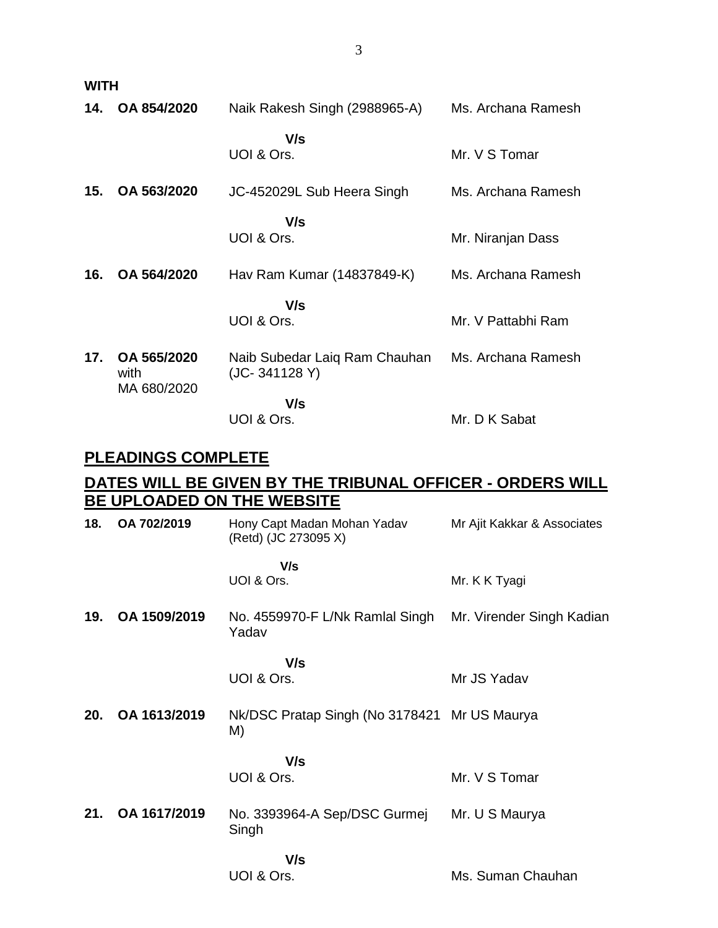**WITH**

| 14. | OA 854/2020                        | Naik Rakesh Singh (2988965-A)                  | Ms. Archana Ramesh |
|-----|------------------------------------|------------------------------------------------|--------------------|
|     |                                    | V/s<br>UOI & Ors.                              | Mr. V S Tomar      |
| 15. | OA 563/2020                        | JC-452029L Sub Heera Singh                     | Ms. Archana Ramesh |
|     |                                    | V/s<br>UOI & Ors.                              | Mr. Niranjan Dass  |
| 16. | OA 564/2020                        | Hav Ram Kumar (14837849-K)                     | Ms. Archana Ramesh |
|     |                                    | V/s<br>UOI & Ors.                              | Mr. V Pattabhi Ram |
| 17. | OA 565/2020<br>with<br>MA 680/2020 | Naib Subedar Laiq Ram Chauhan<br>(JC-341128 Y) | Ms. Archana Ramesh |
|     |                                    | V/s<br>UOI & Ors.                              | Mr. D K Sabat      |

## **PLEADINGS COMPLETE**

## **DATES WILL BE GIVEN BY THE TRIBUNAL OFFICER - ORDERS WILL BE UPLOADED ON THE WEBSITE**

| 18. | OA 702/2019  | Hony Capt Madan Mohan Yadav<br>(Retd) (JC 273095 X) | Mr Ajit Kakkar & Associates |
|-----|--------------|-----------------------------------------------------|-----------------------------|
|     |              | V/s<br>UOI & Ors.                                   | Mr. K K Tyagi               |
| 19. | OA 1509/2019 | No. 4559970-F L/Nk Ramlal Singh<br>Yadav            | Mr. Virender Singh Kadian   |
|     |              | V/s<br>UOI & Ors.                                   | Mr JS Yadav                 |
| 20. | OA 1613/2019 | Nk/DSC Pratap Singh (No 3178421 Mr US Maurya<br>M)  |                             |
|     |              | V/s<br>UOI & Ors.                                   | Mr. V S Tomar               |
| 21. | OA 1617/2019 | No. 3393964-A Sep/DSC Gurmej<br>Singh               | Mr. U S Maurya              |
|     |              | V/s<br>UOI & Ors.                                   | Ms. Suman Chauhan           |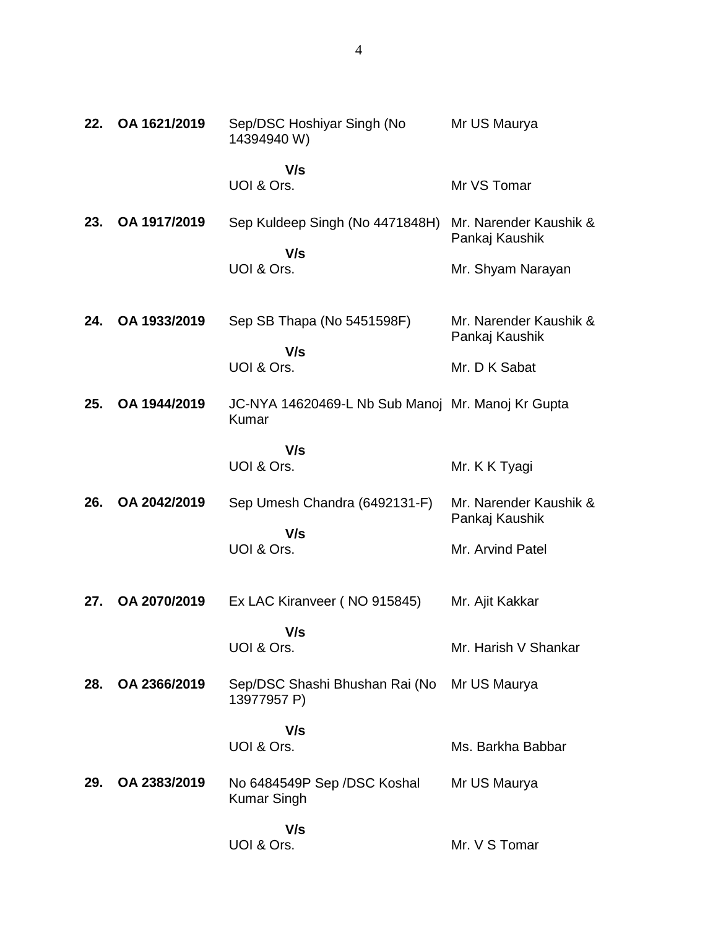| 22. | OA 1621/2019 | Sep/DSC Hoshiyar Singh (No<br>14394940 W)                  | Mr US Maurya                             |
|-----|--------------|------------------------------------------------------------|------------------------------------------|
|     |              | V/s                                                        |                                          |
|     |              | UOI & Ors.                                                 | Mr VS Tomar                              |
| 23. | OA 1917/2019 | Sep Kuldeep Singh (No 4471848H)                            | Mr. Narender Kaushik &<br>Pankaj Kaushik |
|     |              | V/s<br>UOI & Ors.                                          | Mr. Shyam Narayan                        |
| 24. | OA 1933/2019 | Sep SB Thapa (No 5451598F)                                 | Mr. Narender Kaushik &<br>Pankaj Kaushik |
|     |              | V/s<br>UOI & Ors.                                          | Mr. D K Sabat                            |
| 25. | OA 1944/2019 | JC-NYA 14620469-L Nb Sub Manoj Mr. Manoj Kr Gupta<br>Kumar |                                          |
|     |              | V/s                                                        |                                          |
|     |              | UOI & Ors.                                                 | Mr. K K Tyagi                            |
| 26. | OA 2042/2019 | Sep Umesh Chandra (6492131-F)                              | Mr. Narender Kaushik &<br>Pankaj Kaushik |
|     |              | V/s<br>UOI & Ors.                                          | Mr. Arvind Patel                         |
| 27. | OA 2070/2019 | Ex LAC Kiranveer (NO 915845)                               | Mr. Ajit Kakkar                          |
|     |              | V/s<br>UOI & Ors.                                          | Mr. Harish V Shankar                     |
| 28. | OA 2366/2019 | Sep/DSC Shashi Bhushan Rai (No<br>13977957 P)              | Mr US Maurya                             |
|     |              | V/s                                                        |                                          |
|     |              | UOI & Ors.                                                 | Ms. Barkha Babbar                        |
| 29. | OA 2383/2019 | No 6484549P Sep /DSC Koshal<br><b>Kumar Singh</b>          | Mr US Maurya                             |
|     |              | V/s<br>UOI & Ors.                                          | Mr. V S Tomar                            |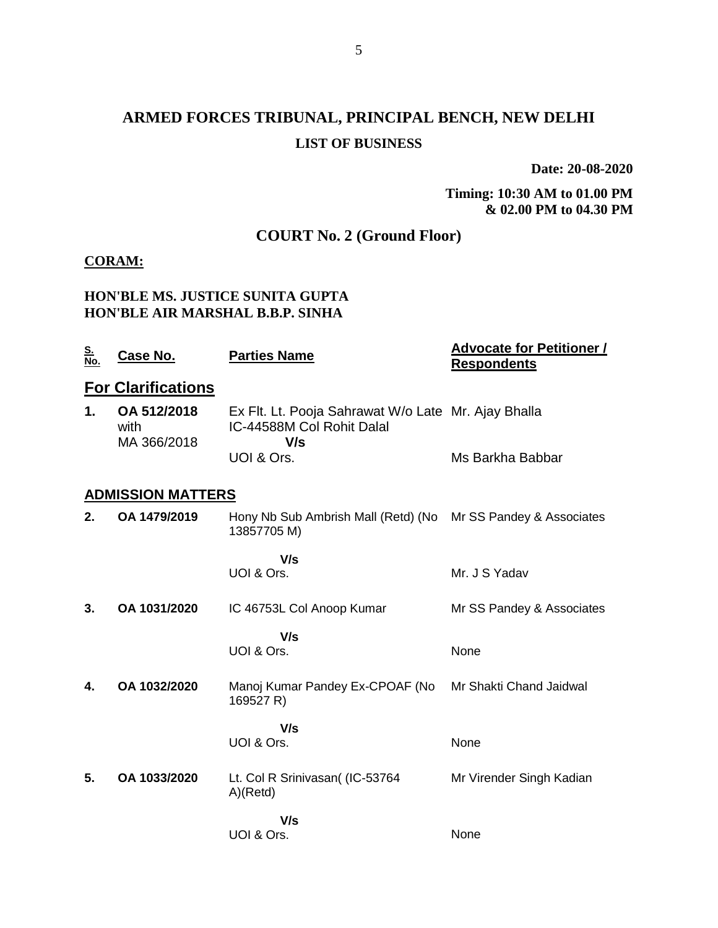# **ARMED FORCES TRIBUNAL, PRINCIPAL BENCH, NEW DELHI LIST OF BUSINESS**

**Date: 20-08-2020**

**Timing: 10:30 AM to 01.00 PM & 02.00 PM to 04.30 PM**

# **COURT No. 2 (Ground Floor)**

#### **CORAM:**

#### **HON'BLE MS. JUSTICE SUNITA GUPTA HON'BLE AIR MARSHAL B.B.P. SINHA**

| <u>S.</u><br>No. | <u>Case No.</u>                    | <b>Parties Name</b>                                                                     | <b>Advocate for Petitioner /</b><br><b>Respondents</b> |
|------------------|------------------------------------|-----------------------------------------------------------------------------------------|--------------------------------------------------------|
|                  | <b>For Clarifications</b>          |                                                                                         |                                                        |
| 1.               | OA 512/2018<br>with<br>MA 366/2018 | Ex Flt. Lt. Pooja Sahrawat W/o Late Mr. Ajay Bhalla<br>IC-44588M Col Rohit Dalal<br>V/s |                                                        |
|                  |                                    | UOI & Ors.                                                                              | Ms Barkha Babbar                                       |
|                  | <b>ADMISSION MATTERS</b>           |                                                                                         |                                                        |
| 2.               | OA 1479/2019                       | Hony Nb Sub Ambrish Mall (Retd) (No<br>13857705 M)                                      | Mr SS Pandey & Associates                              |
|                  |                                    | V/s<br>UOI & Ors.                                                                       | Mr. J S Yadav                                          |
| 3.               | OA 1031/2020                       | IC 46753L Col Anoop Kumar                                                               | Mr SS Pandey & Associates                              |
|                  |                                    | V/s                                                                                     |                                                        |
|                  |                                    | UOI & Ors.                                                                              | None                                                   |
| 4.               | OA 1032/2020                       | Manoj Kumar Pandey Ex-CPOAF (No<br>169527 R)                                            | Mr Shakti Chand Jaidwal                                |
|                  |                                    | V/s<br>UOI & Ors.                                                                       | None                                                   |
| 5.               | OA 1033/2020                       | Lt. Col R Srinivasan( (IC-53764<br>A)(Retd)                                             | Mr Virender Singh Kadian                               |
|                  |                                    | V/s<br>UOI & Ors.                                                                       | None                                                   |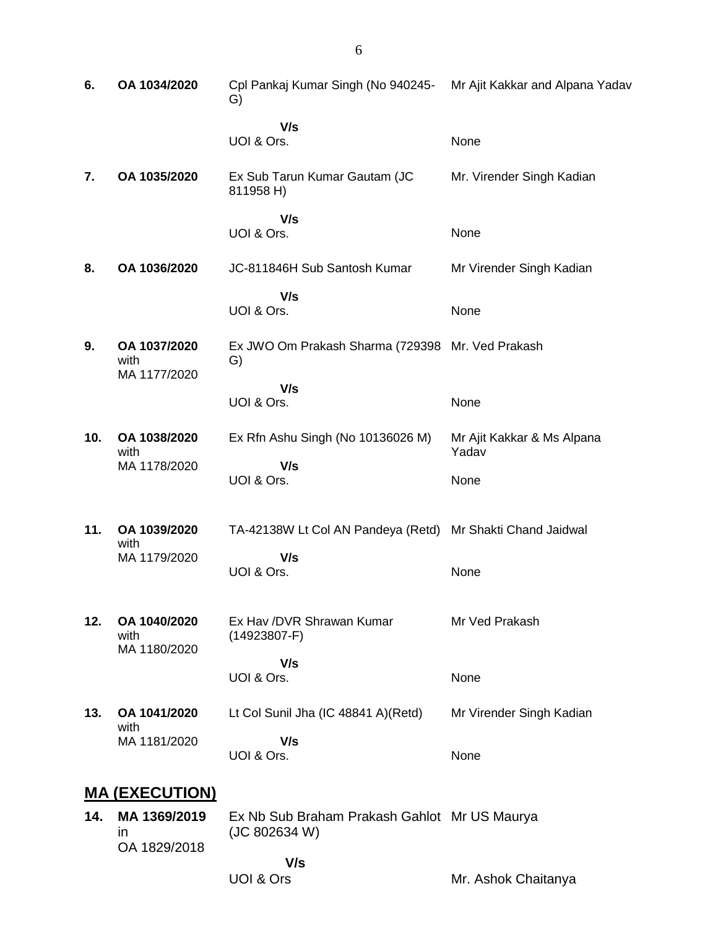| 6.  | OA 1034/2020                         | Cpl Pankaj Kumar Singh (No 940245-<br>G)                   | Mr Ajit Kakkar and Alpana Yadav     |
|-----|--------------------------------------|------------------------------------------------------------|-------------------------------------|
|     |                                      | V/s<br>UOI & Ors.                                          | None                                |
| 7.  | OA 1035/2020                         | Ex Sub Tarun Kumar Gautam (JC<br>811958 H)                 | Mr. Virender Singh Kadian           |
|     |                                      | V/s<br>UOI & Ors.                                          | None                                |
| 8.  | OA 1036/2020                         | JC-811846H Sub Santosh Kumar                               | Mr Virender Singh Kadian            |
|     |                                      | V/s<br>UOI & Ors.                                          | None                                |
| 9.  | OA 1037/2020<br>with                 | Ex JWO Om Prakash Sharma (729398 Mr. Ved Prakash<br>G)     |                                     |
|     | MA 1177/2020                         | V/s<br>UOI & Ors.                                          | None                                |
| 10. | OA 1038/2020<br>with                 | Ex Rfn Ashu Singh (No 10136026 M)                          | Mr Ajit Kakkar & Ms Alpana<br>Yadav |
|     | MA 1178/2020                         | V/s<br>UOI & Ors.                                          | None                                |
| 11. | OA 1039/2020<br>with                 | TA-42138W Lt Col AN Pandeya (Retd) Mr Shakti Chand Jaidwal |                                     |
|     | MA 1179/2020                         | V/s<br>UOI & Ors.                                          | None                                |
| 12. | OA 1040/2020<br>with<br>MA 1180/2020 | Ex Hav / DVR Shrawan Kumar<br>$(14923807-F)$               | Mr Ved Prakash                      |
|     |                                      | V/s<br>UOI & Ors.                                          | None                                |
| 13. | OA 1041/2020<br>with                 | Lt Col Sunil Jha (IC 48841 A)(Retd)                        | Mr Virender Singh Kadian            |
|     | MA 1181/2020                         | V/s<br>UOI & Ors.                                          | None                                |
|     | <u>MA (EXECUTION)</u>                |                                                            |                                     |
|     | 14. MA 1369/2019                     | Ex Nb Sub Braham Prakash Gahlot Mr US Maurva               |                                     |

**14. MA 1369/2019** in OA 1829/2018 Ex Nb Sub Braham Prakash Gahlot (JC 802634 W)  **V/s** Mr US Maurya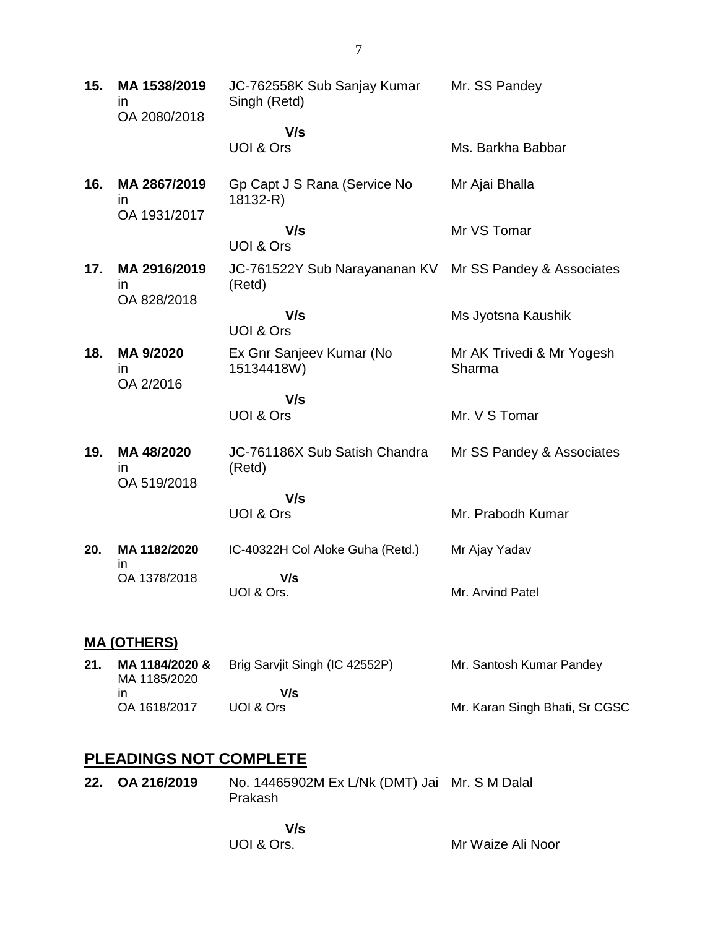| 15. | MA 1538/2019<br>$\mathsf{I}$<br>OA 2080/2018 | JC-762558K Sub Sanjay Kumar<br>Singh (Retd) | Mr. SS Pandey                       |
|-----|----------------------------------------------|---------------------------------------------|-------------------------------------|
|     |                                              | V/s<br>UOI & Ors                            | Ms. Barkha Babbar                   |
| 16. | MA 2867/2019<br>in.                          | Gp Capt J S Rana (Service No<br>18132-R)    | Mr Ajai Bhalla                      |
|     | OA 1931/2017                                 | V/s<br>UOI & Ors                            | Mr VS Tomar                         |
| 17. | MA 2916/2019<br>$\mathsf{I}$<br>OA 828/2018  | JC-761522Y Sub Narayananan KV<br>(Retd)     | Mr SS Pandey & Associates           |
|     |                                              | V/s<br>UOI & Ors                            | Ms Jyotsna Kaushik                  |
| 18. | MA 9/2020<br>in<br>OA 2/2016                 | Ex Gnr Sanjeev Kumar (No<br>15134418W)      | Mr AK Trivedi & Mr Yogesh<br>Sharma |
|     |                                              | V/s                                         |                                     |
|     |                                              | <b>UOI &amp; Ors</b>                        | Mr. V S Tomar                       |
| 19. | MA 48/2020<br>$\mathsf{I}$<br>OA 519/2018    | JC-761186X Sub Satish Chandra<br>(Retd)     | Mr SS Pandey & Associates           |
|     |                                              | V/s<br>UOI & Ors                            | Mr. Prabodh Kumar                   |
| 20. | MA 1182/2020                                 | IC-40322H Col Aloke Guha (Retd.)            | Mr Ajay Yadav                       |
|     | in<br>OA 1378/2018                           | V/s<br>UOI & Ors.                           | Mr. Arvind Patel                    |
|     | <b>MA (OTHERS)</b>                           |                                             |                                     |
| 21. | MA 1184/2020 &                               | Brig Sarvjit Singh (IC 42552P)              | Mr. Santosh Kumar Pandey            |

MA 1185/2020 in OA 1618/2017 Brig Sarvjit Singh (IC 42552P)  **V/s** UOI & Ors Mr. Karan Singh Bhati, Sr CGSC

# **PLEADINGS NOT COMPLETE**

**22. OA 216/2019** No. 14465902M Ex L/Nk (DMT) Jai Mr. S M Dalal Prakash

> **V/s** UOI & Ors.

Mr Waize Ali Noor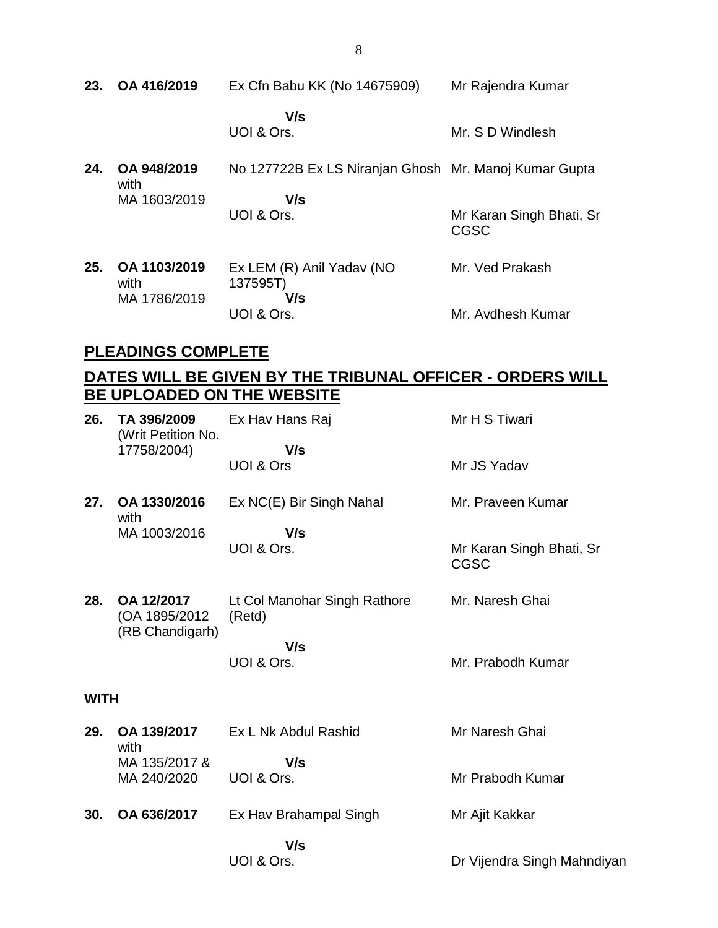| 23. | OA 416/2019                         | Ex Cfn Babu KK (No 14675909)                                 | Mr Rajendra Kumar                |
|-----|-------------------------------------|--------------------------------------------------------------|----------------------------------|
|     |                                     | V/s<br>UOI & Ors.                                            | Mr. S D Windlesh                 |
| 24. | OA 948/2019<br>with<br>MA 1603/2019 | No 127722B Ex LS Niranjan Ghosh Mr. Manoj Kumar Gupta<br>V/s |                                  |
|     |                                     | UOI & Ors.                                                   | Mr Karan Singh Bhati, Sr<br>CGSC |
| 25. | OA 1103/2019<br>with                | Ex LEM (R) Anil Yadav (NO<br>137595T)                        | Mr. Ved Prakash                  |
|     | MA 1786/2019                        | V/s<br>UOI & Ors.                                            | Mr. Avdhesh Kumar                |

### **PLEADINGS COMPLETE**

# **DATES WILL BE GIVEN BY THE TRIBUNAL OFFICER - ORDERS WILL BE UPLOADED ON THE WEBSITE**

| 26.         | TA 396/2009<br>(Writ Petition No.               | Ex Hav Hans Raj                        | Mr H S Tiwari                           |
|-------------|-------------------------------------------------|----------------------------------------|-----------------------------------------|
|             | 17758/2004)                                     | V/s<br>UOI & Ors                       | Mr JS Yadav                             |
| 27.         | OA 1330/2016<br>with                            | Ex NC(E) Bir Singh Nahal               | Mr. Praveen Kumar                       |
|             | MA 1003/2016                                    | V/s<br>UOI & Ors.                      | Mr Karan Singh Bhati, Sr<br><b>CGSC</b> |
| 28.         | OA 12/2017<br>(OA 1895/2012)<br>(RB Chandigarh) | Lt Col Manohar Singh Rathore<br>(Retd) | Mr. Naresh Ghai                         |
|             |                                                 | V/s<br>UOI & Ors.                      | Mr. Prabodh Kumar                       |
| <b>WITH</b> |                                                 |                                        |                                         |
| 29.         | OA 139/2017<br>with                             | Ex L Nk Abdul Rashid                   | Mr Naresh Ghai                          |
|             | MA 135/2017 &<br>MA 240/2020                    | V/s<br>UOI & Ors.                      | Mr Prabodh Kumar                        |
| 30.         | OA 636/2017                                     | Ex Hav Brahampal Singh                 | Mr Ajit Kakkar                          |
|             |                                                 | V/s<br>UOI & Ors.                      | Dr Vijendra Singh Mahndiyan             |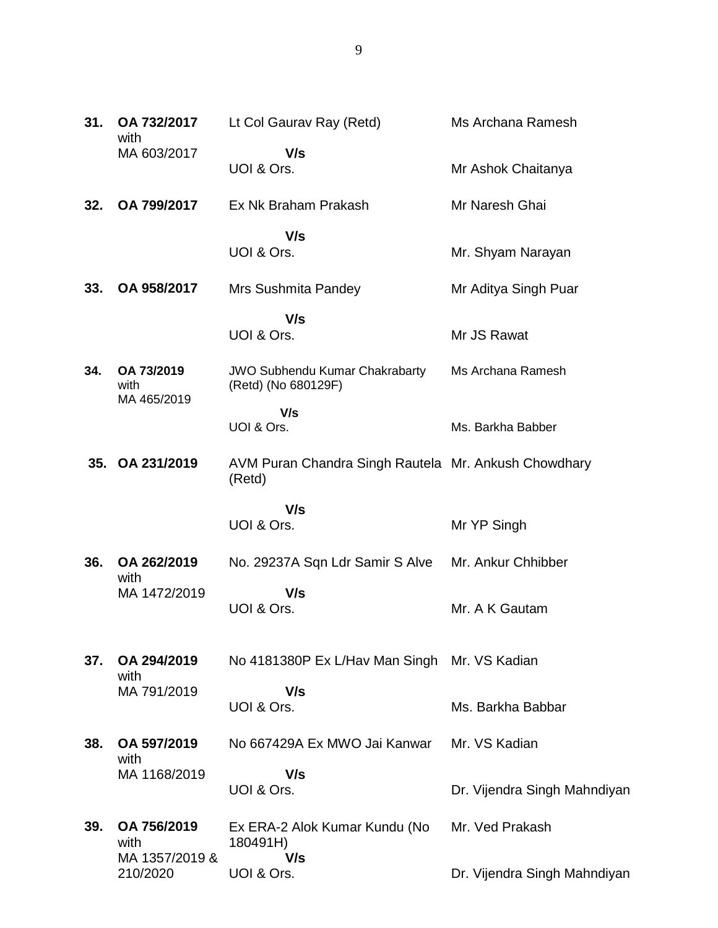| 31. | OA 732/2017<br>with               | Lt Col Gaurav Ray (Retd)                                       | Ms Archana Ramesh            |
|-----|-----------------------------------|----------------------------------------------------------------|------------------------------|
|     | MA 603/2017                       | V/s<br>UOI & Ors.                                              | Mr Ashok Chaitanya           |
| 32. | OA 799/2017                       | Ex Nk Braham Prakash                                           | Mr Naresh Ghai               |
|     |                                   | V/s                                                            |                              |
|     |                                   | UOI & Ors.                                                     | Mr. Shyam Narayan            |
| 33. | OA 958/2017                       | <b>Mrs Sushmita Pandey</b>                                     | Mr Aditya Singh Puar         |
|     |                                   | V/s                                                            |                              |
|     |                                   | UOI & Ors.                                                     | Mr JS Rawat                  |
| 34. | OA 73/2019<br>with<br>MA 465/2019 | <b>JWO Subhendu Kumar Chakrabarty</b><br>(Retd) (No 680129F)   | Ms Archana Ramesh            |
|     |                                   | V/s                                                            |                              |
|     |                                   | UOI & Ors.                                                     | Ms. Barkha Babber            |
|     | 35. OA 231/2019                   | AVM Puran Chandra Singh Rautela Mr. Ankush Chowdhary<br>(Retd) |                              |
|     |                                   | V/s                                                            |                              |
|     |                                   | UOI & Ors.                                                     | Mr YP Singh                  |
| 36. | OA 262/2019<br>with               | No. 29237A Sqn Ldr Samir S Alve                                | Mr. Ankur Chhibber           |
|     | MA 1472/2019                      | V/s                                                            |                              |
|     |                                   | UOI & Ors.                                                     | Mr. A K Gautam               |
| 37. | OA 294/2019                       | No 4181380P Ex L/Hav Man Singh Mr. VS Kadian                   |                              |
|     | with                              |                                                                |                              |
|     | MA 791/2019                       | V/s<br>UOI & Ors.                                              | Ms. Barkha Babbar            |
|     |                                   |                                                                |                              |
| 38. | OA 597/2019<br>with               | No 667429A Ex MWO Jai Kanwar                                   | Mr. VS Kadian                |
|     | MA 1168/2019                      | V/s                                                            |                              |
|     |                                   | UOI & Ors.                                                     | Dr. Vijendra Singh Mahndiyan |
| 39. | OA 756/2019<br>with               | Ex ERA-2 Alok Kumar Kundu (No<br>180491H)                      | Mr. Ved Prakash              |
|     | MA 1357/2019 &<br>210/2020        | V/s<br>UOI & Ors.                                              | Dr. Vijendra Singh Mahndiyan |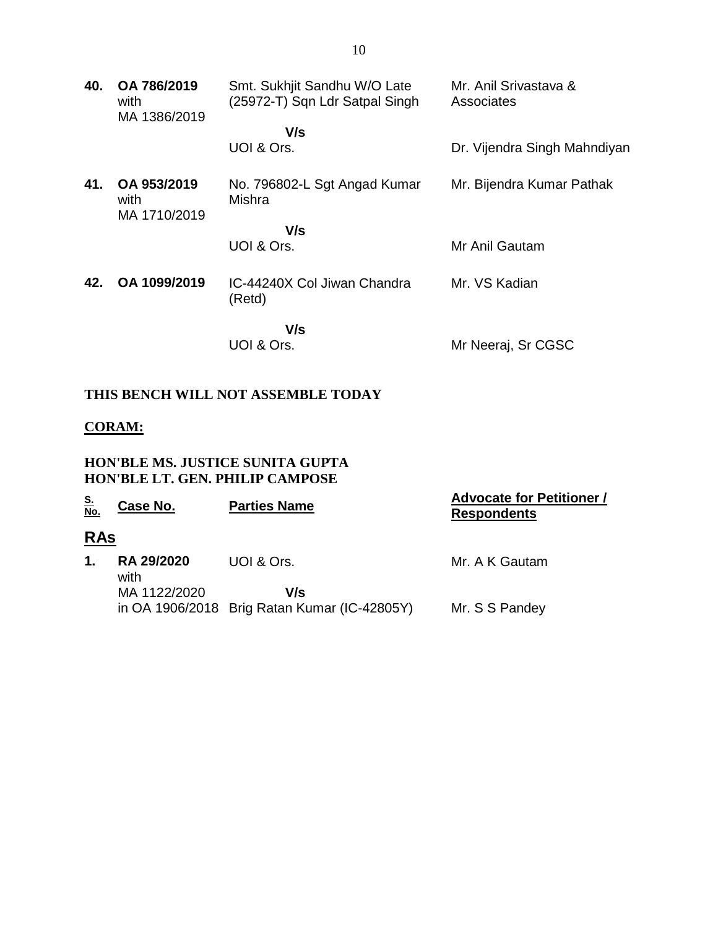| 40. | OA 786/2019<br>with<br>MA 1386/2019 | Smt. Sukhjit Sandhu W/O Late<br>(25972-T) Sqn Ldr Satpal Singh | Mr. Anil Srivastava &<br>Associates |
|-----|-------------------------------------|----------------------------------------------------------------|-------------------------------------|
|     |                                     | V/s                                                            |                                     |
|     |                                     | UOI & Ors.                                                     | Dr. Vijendra Singh Mahndiyan        |
| 41. | OA 953/2019<br>with<br>MA 1710/2019 | No. 796802-L Sgt Angad Kumar<br>Mishra                         | Mr. Bijendra Kumar Pathak           |
|     |                                     | V/s                                                            |                                     |
|     |                                     | UOI & Ors.                                                     | Mr Anil Gautam                      |
| 42. | OA 1099/2019                        | IC-44240X Col Jiwan Chandra<br>(Retd)                          | Mr. VS Kadian                       |
|     |                                     | V/s<br>UOI & Ors.                                              | Mr Neeraj, Sr CGSC                  |

### **THIS BENCH WILL NOT ASSEMBLE TODAY**

### **CORAM:**

#### **HON'BLE MS. JUSTICE SUNITA GUPTA HON'BLE LT. GEN. PHILIP CAMPOSE**

| <u>S.<br/>No.</u> | Case No.                  | <b>Parties Name</b>                                 | <b>Advocate for Petitioner /</b><br><b>Respondents</b> |
|-------------------|---------------------------|-----------------------------------------------------|--------------------------------------------------------|
| <u>RAs</u>        |                           |                                                     |                                                        |
| 1.                | <b>RA 29/2020</b><br>with | UOI & Ors.                                          | Mr. A K Gautam                                         |
|                   | MA 1122/2020              | V/s<br>in OA 1906/2018 Brig Ratan Kumar (IC-42805Y) | Mr. S S Pandey                                         |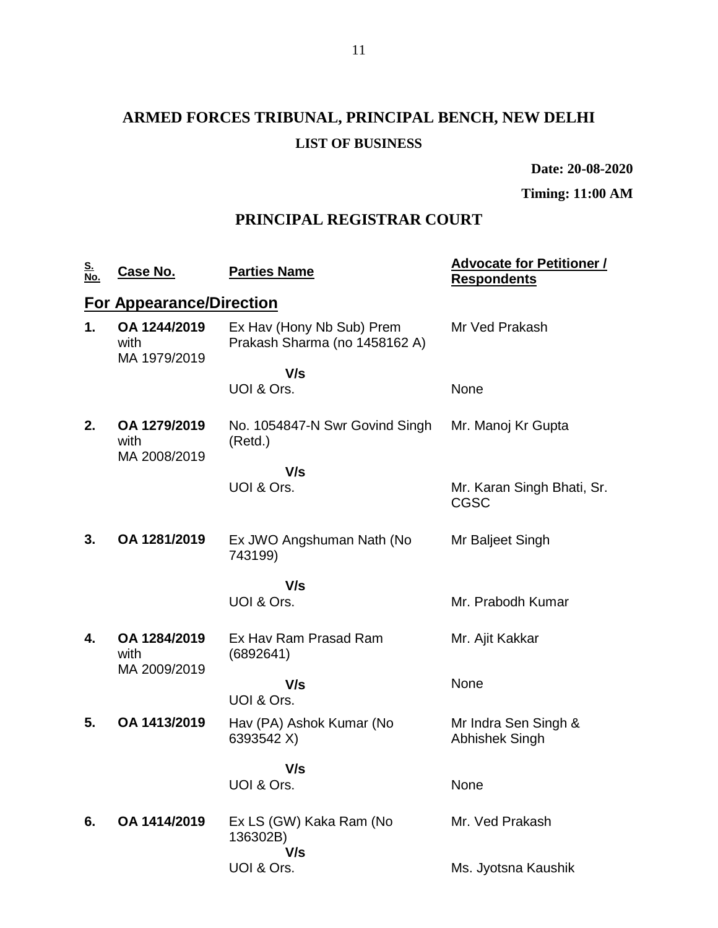# **ARMED FORCES TRIBUNAL, PRINCIPAL BENCH, NEW DELHI LIST OF BUSINESS**

**Date: 20-08-2020**

**Timing: 11:00 AM**

## **PRINCIPAL REGISTRAR COURT**

| <u>S.<br/>No.</u> | <u>Case No.</u>                      | <b>Parties Name</b>                                        | <b>Advocate for Petitioner /</b><br><b>Respondents</b> |
|-------------------|--------------------------------------|------------------------------------------------------------|--------------------------------------------------------|
|                   | <b>For Appearance/Direction</b>      |                                                            |                                                        |
| 1.                | OA 1244/2019<br>with<br>MA 1979/2019 | Ex Hav (Hony Nb Sub) Prem<br>Prakash Sharma (no 1458162 A) | Mr Ved Prakash                                         |
|                   |                                      | V/s                                                        |                                                        |
|                   |                                      | UOI & Ors.                                                 | None                                                   |
| 2.                | OA 1279/2019<br>with<br>MA 2008/2019 | No. 1054847-N Swr Govind Singh<br>(Retd.)                  | Mr. Manoj Kr Gupta                                     |
|                   |                                      | V/s                                                        |                                                        |
|                   |                                      | UOI & Ors.                                                 | Mr. Karan Singh Bhati, Sr.<br><b>CGSC</b>              |
| 3.                | OA 1281/2019                         | Ex JWO Angshuman Nath (No<br>743199)                       | Mr Baljeet Singh                                       |
|                   |                                      | V/s                                                        |                                                        |
|                   |                                      | UOI & Ors.                                                 | Mr. Prabodh Kumar                                      |
| 4.                | OA 1284/2019<br>with                 | Ex Hav Ram Prasad Ram<br>(6892641)                         | Mr. Ajit Kakkar                                        |
|                   | MA 2009/2019                         | V/s                                                        | None                                                   |
|                   |                                      | UOI & Ors.                                                 |                                                        |
| 5.                | OA 1413/2019                         | Hav (PA) Ashok Kumar (No<br>6393542 X)                     | Mr Indra Sen Singh &<br>Abhishek Singh                 |
|                   |                                      | V/s                                                        |                                                        |
|                   |                                      | UOI & Ors.                                                 | None                                                   |
| 6.                | OA 1414/2019                         | Ex LS (GW) Kaka Ram (No<br>136302B)<br>V/s                 | Mr. Ved Prakash                                        |
|                   |                                      | UOI & Ors.                                                 | Ms. Jyotsna Kaushik                                    |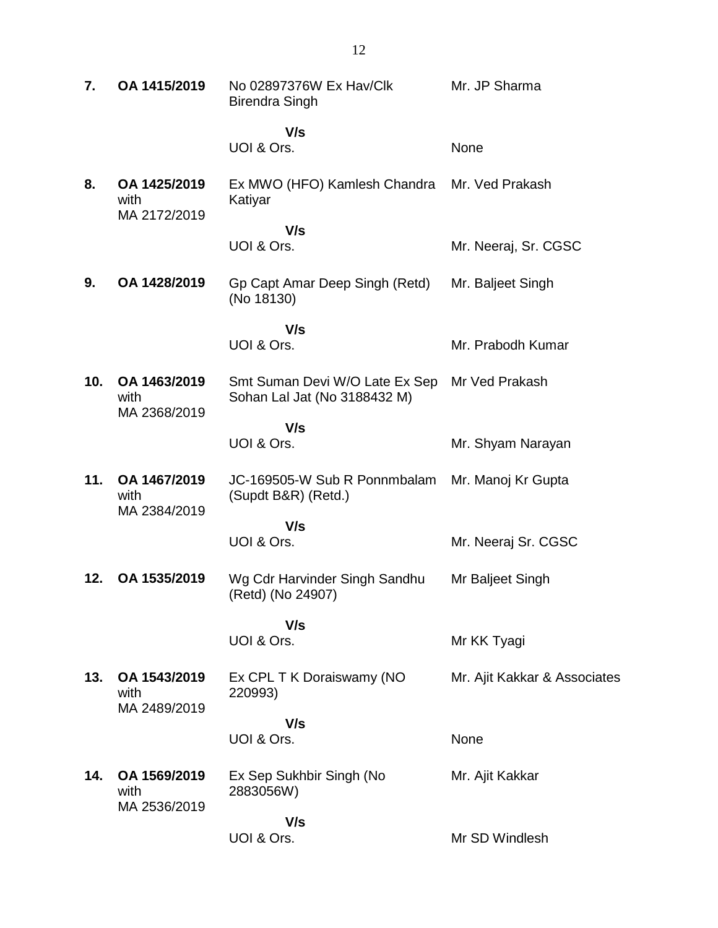| 7.  | OA 1415/2019                         | No 02897376W Ex Hav/Clk<br><b>Birendra Singh</b>               | Mr. JP Sharma                |
|-----|--------------------------------------|----------------------------------------------------------------|------------------------------|
|     |                                      | V/s<br>UOI & Ors.                                              | None                         |
| 8.  | OA 1425/2019<br>with<br>MA 2172/2019 | Ex MWO (HFO) Kamlesh Chandra<br>Katiyar                        | Mr. Ved Prakash              |
|     |                                      | V/s<br>UOI & Ors.                                              | Mr. Neeraj, Sr. CGSC         |
| 9.  | OA 1428/2019                         | Gp Capt Amar Deep Singh (Retd)<br>(No 18130)                   | Mr. Baljeet Singh            |
|     |                                      | V/s                                                            |                              |
|     |                                      | UOI & Ors.                                                     | Mr. Prabodh Kumar            |
| 10. | OA 1463/2019<br>with<br>MA 2368/2019 | Smt Suman Devi W/O Late Ex Sep<br>Sohan Lal Jat (No 3188432 M) | Mr Ved Prakash               |
|     |                                      | V/s<br>UOI & Ors.                                              | Mr. Shyam Narayan            |
| 11. | OA 1467/2019<br>with<br>MA 2384/2019 | JC-169505-W Sub R Ponnmbalam<br>(Supdt B&R) (Retd.)            | Mr. Manoj Kr Gupta           |
|     |                                      | V/s<br>UOI & Ors.                                              | Mr. Neeraj Sr. CGSC          |
| 12. | OA 1535/2019                         | Wg Cdr Harvinder Singh Sandhu<br>(Retd) (No 24907)             | Mr Baljeet Singh             |
|     |                                      | V/s<br>UOI & Ors.                                              | Mr KK Tyagi                  |
| 13. | OA 1543/2019<br>with<br>MA 2489/2019 | Ex CPL T K Doraiswamy (NO<br>220993)                           | Mr. Ajit Kakkar & Associates |
|     |                                      | V/s<br>UOI & Ors.                                              | None                         |
| 14. | OA 1569/2019<br>with<br>MA 2536/2019 | Ex Sep Sukhbir Singh (No<br>2883056W)                          | Mr. Ajit Kakkar              |
|     |                                      | V/s<br>UOI & Ors.                                              | Mr SD Windlesh               |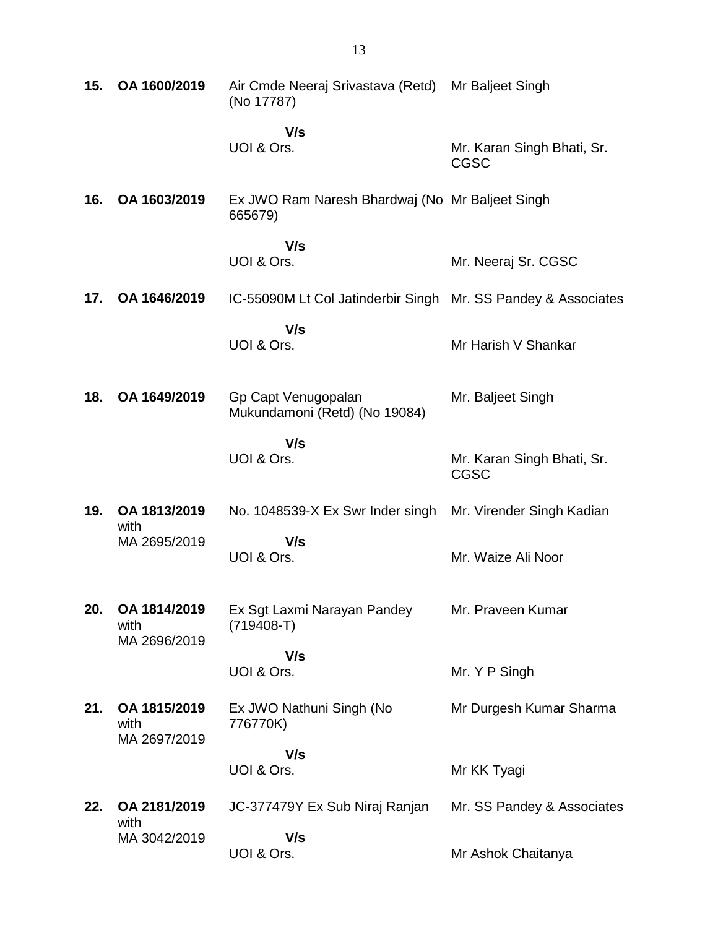| 15. | OA 1600/2019                         | Air Cmde Neeraj Srivastava (Retd) Mr Baljeet Singh<br>(No 17787) |                                           |
|-----|--------------------------------------|------------------------------------------------------------------|-------------------------------------------|
|     |                                      | V/s<br>UOI & Ors.                                                | Mr. Karan Singh Bhati, Sr.<br><b>CGSC</b> |
| 16. | OA 1603/2019                         | Ex JWO Ram Naresh Bhardwaj (No Mr Baljeet Singh<br>665679)       |                                           |
|     |                                      | V/s<br>UOI & Ors.                                                | Mr. Neeraj Sr. CGSC                       |
| 17. | OA 1646/2019                         | IC-55090M Lt Col Jatinderbir Singh Mr. SS Pandey & Associates    |                                           |
|     |                                      | V/s<br>UOI & Ors.                                                | Mr Harish V Shankar                       |
| 18. | OA 1649/2019                         | Gp Capt Venugopalan<br>Mukundamoni (Retd) (No 19084)             | Mr. Baljeet Singh                         |
|     |                                      | V/s<br>UOI & Ors.                                                | Mr. Karan Singh Bhati, Sr.<br><b>CGSC</b> |
| 19. | OA 1813/2019<br>with                 | No. 1048539-X Ex Swr Inder singh                                 | Mr. Virender Singh Kadian                 |
|     | MA 2695/2019                         | V/s<br>UOI & Ors.                                                | Mr. Waize Ali Noor                        |
| 20. | OA 1814/2019<br>with<br>MA 2696/2019 | Ex Sgt Laxmi Narayan Pandey<br>$(719408-T)$                      | Mr. Praveen Kumar                         |
|     |                                      | V/s<br>UOI & Ors.                                                | Mr. Y P Singh                             |
| 21. | OA 1815/2019<br>with<br>MA 2697/2019 | Ex JWO Nathuni Singh (No<br>776770K)                             | Mr Durgesh Kumar Sharma                   |
|     |                                      | V/s<br>UOI & Ors.                                                | Mr KK Tyagi                               |
| 22. | OA 2181/2019<br>with                 | JC-377479Y Ex Sub Niraj Ranjan                                   | Mr. SS Pandey & Associates                |
|     | MA 3042/2019                         | V/s<br>UOI & Ors.                                                | Mr Ashok Chaitanya                        |